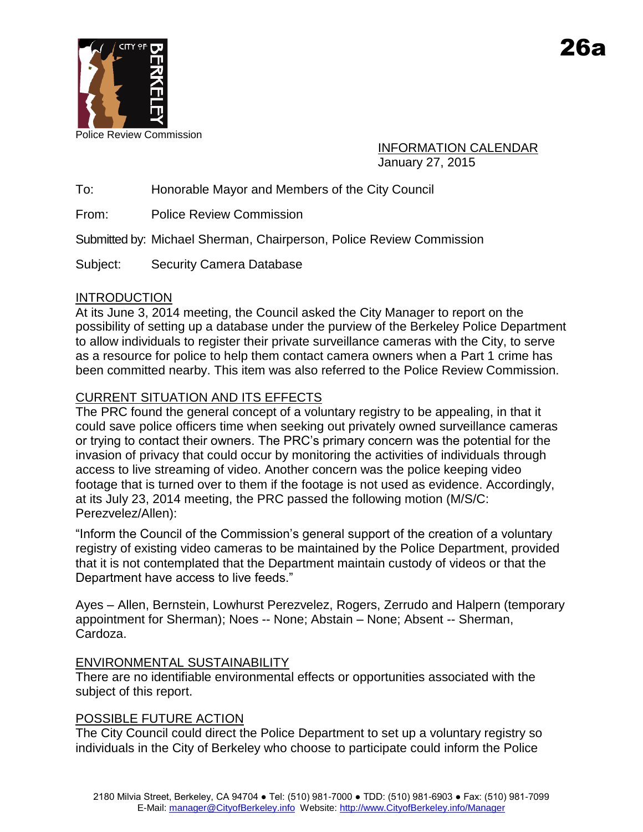

Police Review Commission

INFORMATION CALENDAR January 27, 2015

To: Honorable Mayor and Members of the City Council

From: Police Review Commission

Submitted by: Michael Sherman, Chairperson, Police Review Commission

Subject: Security Camera Database

#### INTRODUCTION

At its June 3, 2014 meeting, the Council asked the City Manager to report on the possibility of setting up a database under the purview of the Berkeley Police Department to allow individuals to register their private surveillance cameras with the City, to serve as a resource for police to help them contact camera owners when a Part 1 crime has been committed nearby. This item was also referred to the Police Review Commission.

## CURRENT SITUATION AND ITS EFFECTS

The PRC found the general concept of a voluntary registry to be appealing, in that it could save police officers time when seeking out privately owned surveillance cameras or trying to contact their owners. The PRC's primary concern was the potential for the invasion of privacy that could occur by monitoring the activities of individuals through access to live streaming of video. Another concern was the police keeping video footage that is turned over to them if the footage is not used as evidence. Accordingly, at its July 23, 2014 meeting, the PRC passed the following motion (M/S/C: Perezvelez/Allen):

"Inform the Council of the Commission's general support of the creation of a voluntary registry of existing video cameras to be maintained by the Police Department, provided that it is not contemplated that the Department maintain custody of videos or that the Department have access to live feeds."

Ayes – Allen, Bernstein, Lowhurst Perezvelez, Rogers, Zerrudo and Halpern (temporary appointment for Sherman); Noes -- None; Abstain – None; Absent -- Sherman, Cardoza.

## ENVIRONMENTAL SUSTAINABILITY

There are no identifiable environmental effects or opportunities associated with the subject of this report.

## POSSIBLE FUTURE ACTION

The City Council could direct the Police Department to set up a voluntary registry so individuals in the City of Berkeley who choose to participate could inform the Police